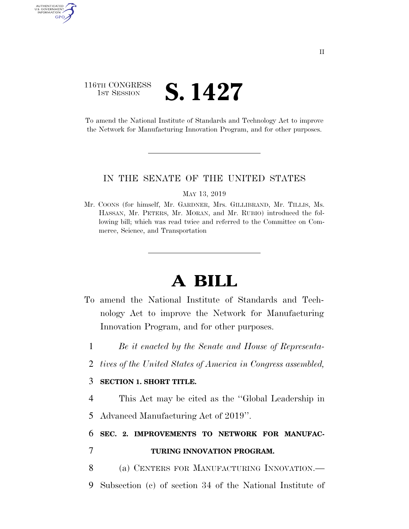### 116TH CONGRESS **1st Session S. 1427**

AUTHENTICATED U.S. GOVERNMENT GPO

> To amend the National Institute of Standards and Technology Act to improve the Network for Manufacturing Innovation Program, and for other purposes.

### IN THE SENATE OF THE UNITED STATES

MAY 13, 2019

Mr. COONS (for himself, Mr. GARDNER, Mrs. GILLIBRAND, Mr. TILLIS, Ms. HASSAN, Mr. PETERS, Mr. MORAN, and Mr. RUBIO) introduced the following bill; which was read twice and referred to the Committee on Commerce, Science, and Transportation

# **A BILL**

- To amend the National Institute of Standards and Technology Act to improve the Network for Manufacturing Innovation Program, and for other purposes.
	- 1 *Be it enacted by the Senate and House of Representa-*
	- 2 *tives of the United States of America in Congress assembled,*

### 3 **SECTION 1. SHORT TITLE.**

4 This Act may be cited as the ''Global Leadership in 5 Advanced Manufacturing Act of 2019''.

## 6 **SEC. 2. IMPROVEMENTS TO NETWORK FOR MANUFAC-**

- 7 **TURING INNOVATION PROGRAM.**
- 8 (a) CENTERS FOR MANUFACTURING INNOVATION.—
- 9 Subsection (c) of section 34 of the National Institute of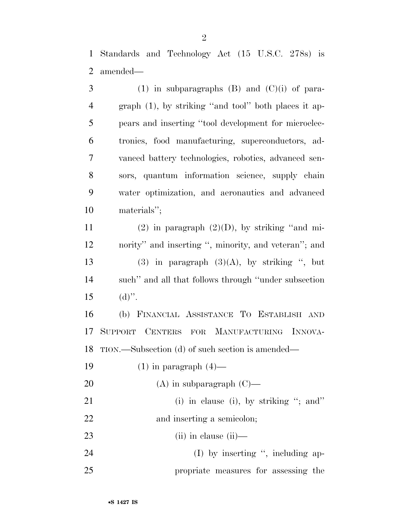Standards and Technology Act (15 U.S.C. 278s) is amended—

| 3              | (1) in subparagraphs $(B)$ and $(C)(i)$ of para-        |
|----------------|---------------------------------------------------------|
| $\overline{4}$ | graph $(1)$ , by striking "and tool" both places it ap- |
| 5              | pears and inserting "tool development for microelec-    |
| 6              | tronics, food manufacturing, superconductors, ad-       |
| $\tau$         | vanced battery technologies, robotics, advanced sen-    |
| 8              | sors, quantum information science, supply chain         |
| 9              | water optimization, and aeronautics and advanced        |
| 10             | materials";                                             |
| 11             | $(2)$ in paragraph $(2)(D)$ , by striking "and mi-      |
| 12             | nority" and inserting ", minority, and veteran"; and    |
| 13             | $(3)$ in paragraph $(3)(A)$ , by striking ", but        |
| 14             | such" and all that follows through "under subsection"   |
| 15             | $(d)$ ".                                                |
| 16             | (b) FINANCIAL ASSISTANCE TO ESTABLISH AND               |
| 17             | SUPPORT CENTERS FOR MANUFACTURING INNOVA-               |
| 18             | TION.—Subsection (d) of such section is amended—        |
| 19             | $(1)$ in paragraph $(4)$ —                              |
| 20             | $(A)$ in subparagraph $(C)$ —                           |
| 21             | (i) in clause (i), by striking "; and"                  |
| 22             | and inserting a semicolon;                              |
| 23             | $(ii)$ in clause $(ii)$ —                               |
| 24             | $(I)$ by inserting ", including ap-                     |
| 25             | propriate measures for assessing the                    |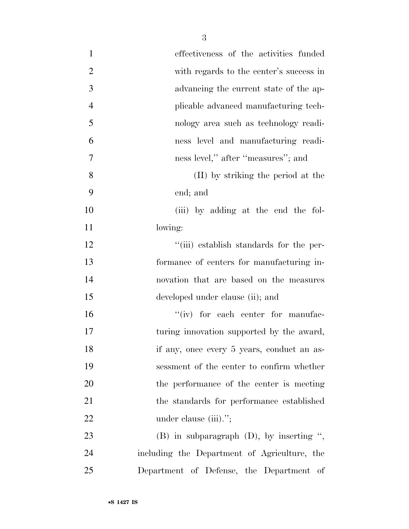| $\mathbf{1}$   | effectiveness of the activities funded        |
|----------------|-----------------------------------------------|
| $\overline{2}$ | with regards to the center's success in       |
| $\overline{3}$ | advancing the current state of the ap-        |
| $\overline{4}$ | plicable advanced manufacturing tech-         |
| 5              | nology area such as technology readi-         |
| 6              | ness level and manufacturing readi-           |
| $\tau$         | ness level," after "measures"; and            |
| 8              | (II) by striking the period at the            |
| 9              | end; and                                      |
| 10             | (iii) by adding at the end the fol-           |
| 11             | lowing:                                       |
| 12             | "(iii) establish standards for the per-       |
| 13             | formance of centers for manufacturing in-     |
| 14             | novation that are based on the measures       |
| 15             | developed under clause (ii); and              |
| 16             | $``(iv)$ for each center for manufac-         |
| 17             | turing innovation supported by the award,     |
| 18             | if any, once every 5 years, conduct an as-    |
| 19             | sessment of the center to confirm whether     |
| 20             | the performance of the center is meeting      |
| 21             | the standards for performance established     |
| 22             | under clause (iii).";                         |
| 23             | $(B)$ in subparagraph $(D)$ , by inserting ", |
| 24             | including the Department of Agriculture, the  |
| 25             | Department of Defense, the Department of      |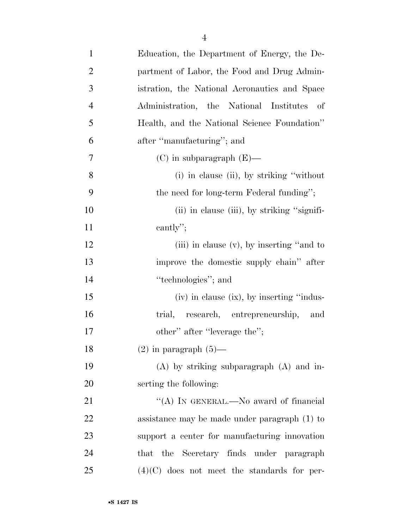| $\mathbf{1}$   | Education, the Department of Energy, the De-    |
|----------------|-------------------------------------------------|
| $\overline{2}$ | partment of Labor, the Food and Drug Admin-     |
| 3              | istration, the National Aeronautics and Space   |
| $\overline{4}$ | Administration, the National Institutes<br>- of |
| 5              | Health, and the National Science Foundation"    |
| 6              | after "manufacturing"; and                      |
| 7              | $(C)$ in subparagraph $(E)$ —                   |
| 8              | (i) in clause (ii), by striking "without        |
| 9              | the need for long-term Federal funding";        |
| 10             | (ii) in clause (iii), by striking "signifi-     |
| 11             | cantly";                                        |
| 12             | (iii) in clause $(v)$ , by inserting "and to    |
| 13             | improve the domestic supply chain" after        |
| 14             | "technologies"; and                             |
| 15             | (iv) in clause (ix), by inserting "indus-       |
| 16             | trial, research, entrepreneurship,<br>and       |
| 17             | other" after "leverage the";                    |
| 18             | $(2)$ in paragraph $(5)$ —                      |
| 19             | $(A)$ by striking subparagraph $(A)$ and in-    |
| 20             | serting the following:                          |
| 21             | "(A) IN GENERAL.—No award of financial          |
| 22             | assistance may be made under paragraph $(1)$ to |
| 23             | support a center for manufacturing innovation   |
| 24             | the Secretary finds under paragraph<br>that     |
| 25             | $(4)(C)$ does not meet the standards for per-   |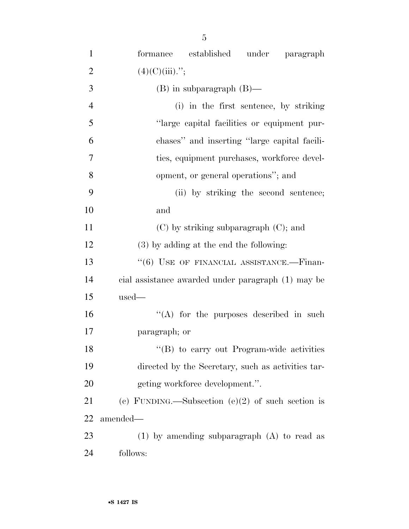| $\mathbf{1}$   | established under paragraph<br>formance            |
|----------------|----------------------------------------------------|
| $\overline{2}$ | $(4)(C)(iii)$ .";                                  |
| 3              | $(B)$ in subparagraph $(B)$ —                      |
| $\overline{4}$ | (i) in the first sentence, by striking             |
| 5              | "large capital facilities or equipment pur-        |
| 6              | chases" and inserting "large capital facili-       |
| $\overline{7}$ | ties, equipment purchases, workforce devel-        |
| 8              | opment, or general operations"; and                |
| 9              | (ii) by striking the second sentence;              |
| 10             | and                                                |
| 11             | $(C)$ by striking subparagraph $(C)$ ; and         |
| 12             | (3) by adding at the end the following:            |
| 13             | $``(6)$ USE OF FINANCIAL ASSISTANCE.—Finan-        |
| 14             | cial assistance awarded under paragraph (1) may be |
| 15             | $used-$                                            |
| 16             | $\lq\lq$ for the purposes described in such        |
| 17             | paragraph; or                                      |
| 18             | "(B) to carry out Program-wide activities          |
| 19             | directed by the Secretary, such as activities tar- |
| 20             | geting workforce development.".                    |
| 21             | (c) FUNDING.—Subsection (e)(2) of such section is  |
| 22             | amended-                                           |
| 23             | $(1)$ by amending subparagraph $(A)$ to read as    |
| 24             | follows:                                           |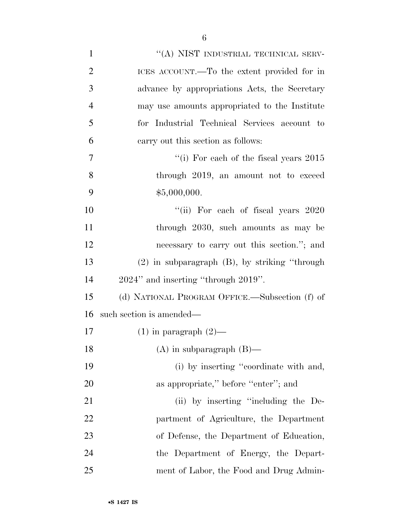| $\mathbf{1}$   | "(A) NIST INDUSTRIAL TECHNICAL SERV-               |
|----------------|----------------------------------------------------|
| $\overline{2}$ | ICES ACCOUNT.—To the extent provided for in        |
| 3              | advance by appropriations Acts, the Secretary      |
| $\overline{4}$ | may use amounts appropriated to the Institute      |
| 5              | for Industrial Technical Services account to       |
| 6              | carry out this section as follows:                 |
| 7              | "(i) For each of the fiscal years $2015$           |
| 8              | through 2019, an amount not to exceed              |
| 9              | \$5,000,000.                                       |
| 10             | "(ii) For each of fiscal years 2020                |
| 11             | through 2030, such amounts as may be               |
| 12             | necessary to carry out this section."; and         |
| 13             | $(2)$ in subparagraph $(B)$ , by striking "through |
| 14             | 2024" and inserting "through 2019".                |
| 15             | (d) NATIONAL PROGRAM OFFICE.—Subsection (f) of     |
| 16             | such section is amended—                           |
| 17             | $(1)$ in paragraph $(2)$ —                         |
| 18             | $(A)$ in subparagraph $(B)$ —                      |
| 19             | (i) by inserting "coordinate with and,             |
| 20             | as appropriate," before "enter"; and               |
| 21             | (ii) by inserting "including the De-               |
| 22             | partment of Agriculture, the Department            |
| 23             | of Defense, the Department of Education,           |
| 24             | the Department of Energy, the Depart-              |
| 25             | ment of Labor, the Food and Drug Admin-            |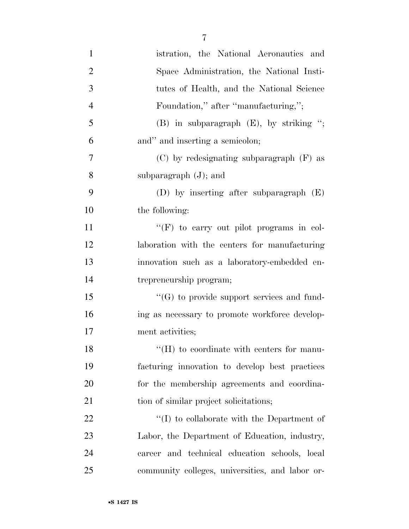| $\mathbf{1}$   | istration, the National Aeronautics and           |
|----------------|---------------------------------------------------|
| $\overline{2}$ | Space Administration, the National Insti-         |
| 3              | tutes of Health, and the National Science         |
| $\overline{4}$ | Foundation," after "manufacturing,";              |
| 5              | $(B)$ in subparagraph $(E)$ , by striking ";      |
| 6              | and" and inserting a semicolon;                   |
| 7              | $(C)$ by redesignating subparagraph $(F)$ as      |
| 8              | subparagraph $(J)$ ; and                          |
| 9              | (D) by inserting after subparagraph $(E)$         |
| 10             | the following:                                    |
| 11             | "(F) to carry out pilot programs in col-          |
| 12             | laboration with the centers for manufacturing     |
| 13             | innovation such as a laboratory-embedded en-      |
| 14             | trepreneurship program;                           |
| 15             | $\lq\lq(G)$ to provide support services and fund- |
| 16             | ing as necessary to promote workforce develop-    |
| 17             | ment activities;                                  |
| 18             | $\lq\lq (H)$ to coordinate with centers for manu- |
| 19             | facturing innovation to develop best practices    |
| 20             | for the membership agreements and coordina-       |
| 21             | tion of similar project solicitations;            |
| 22             | $\lq\lq$ to collaborate with the Department of    |
| 23             | Labor, the Department of Education, industry,     |
| 24             | career and technical education schools, local     |
| 25             | community colleges, universities, and labor or-   |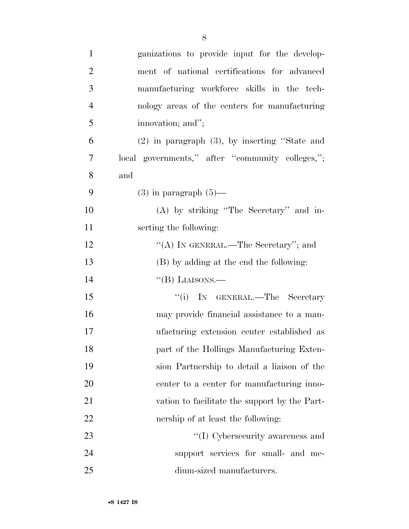| $\mathbf{1}$   | ganizations to provide input for the develop-      |
|----------------|----------------------------------------------------|
| $\overline{2}$ | ment of national certifications for advanced       |
| 3              | manufacturing workforce skills in the tech-        |
| $\overline{4}$ | nology areas of the centers for manufacturing      |
| 5              | innovation; and";                                  |
| 6              | $(2)$ in paragraph $(3)$ , by inserting "State and |
| 7              | local governments," after "community colleges,";   |
| 8              | and                                                |
| 9              | $(3)$ in paragraph $(5)$ —                         |
| 10             | (A) by striking "The Secretary" and in-            |
| 11             | serting the following:                             |
| 12             | "(A) IN GENERAL.—The Secretary"; and               |
| 13             | (B) by adding at the end the following:            |
| 14             | "(B) LIAISONS.—                                    |
| 15             | "(i) IN GENERAL.—The Secretary                     |
| 16             | may provide financial assistance to a man-         |
| 17             | ufacturing extension center established as         |
| 18             | part of the Hollings Manufacturing Exten-          |
| 19             | sion Partnership to detail a liaison of the        |
| 20             | center to a center for manufacturing inno-         |
| 21             | vation to facilitate the support by the Part-      |
| 22             | nership of at least the following:                 |
| 23             | "(I) Cybersecurity awareness and                   |
| 24             | support services for small- and me-                |
| 25             | dium-sized manufacturers.                          |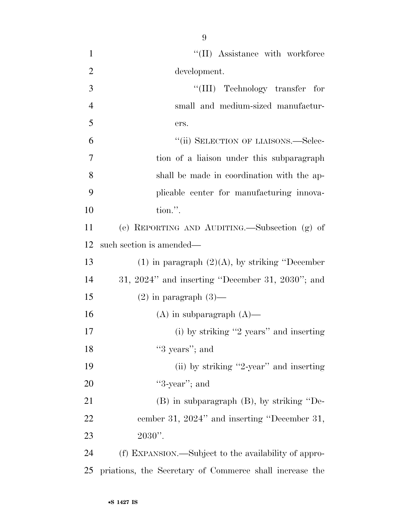| $\mathbf{1}$   | "(II) Assistance with workforce                         |
|----------------|---------------------------------------------------------|
| $\overline{2}$ | development.                                            |
| 3              | "(III) Technology transfer for                          |
| $\overline{4}$ | small and medium-sized manufactur-                      |
| 5              | ers.                                                    |
| 6              | "(ii) SELECTION OF LIAISONS.—Selec-                     |
| $\overline{7}$ | tion of a liaison under this subparagraph               |
| 8              | shall be made in coordination with the ap-              |
| 9              | plicable center for manufacturing innova-               |
| 10             | tion.".                                                 |
| 11             | (e) REPORTING AND AUDITING.—Subsection (g) of           |
| 12             | such section is amended—                                |
| 13             | $(1)$ in paragraph $(2)(A)$ , by striking "December"    |
| 14             | $31, 2024$ " and inserting "December 31, 2030"; and     |
| 15             | $(2)$ in paragraph $(3)$ —                              |
| 16             | $(A)$ in subparagraph $(A)$ —                           |
| 17             | $(i)$ by striking "2 years" and inserting               |
| 18             | "3 years"; and                                          |
| 19             | (ii) by striking "2-year" and inserting                 |
| 20             | " $3$ -year"; and                                       |
| 21             | $(B)$ in subparagraph $(B)$ , by striking "De-          |
| 22             | cember 31, 2024" and inserting "December 31,            |
| 23             | $2030$ ".                                               |
| 24             | (f) EXPANSION.—Subject to the availability of appro-    |
| 25             | priations, the Secretary of Commerce shall increase the |